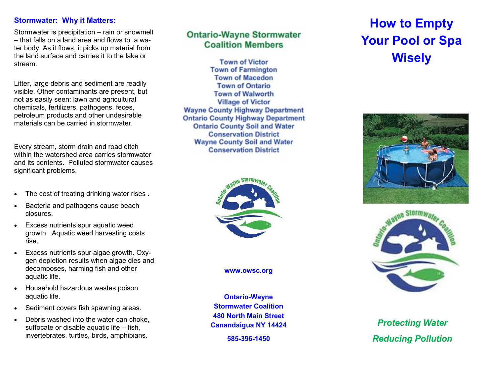#### **Stormwater: Why it Matters:**

Stormwater is precipitation – rain or snowmelt – that falls on a land area and flows to a water body. As it flows, it picks up material from the land surface and carries it to the lake or stream.

Litter, large debris and sediment are readily visible. Other contaminants are present, but not as easily seen: lawn and agricultural chemicals, fertilizers, pathogens, feces, petroleum products and other undesirable materials can be carried in stormwater.

Every stream, storm drain and road ditch within the watershed area carries stormwater and its contents. Polluted stormwater causes significant problems.

- The cost of treating drinking water rises .
- Bacteria and pathogens cause beach closures.
- Excess nutrients spur aquatic weed growth. Aquatic weed harvesting costs rise.
- Excess nutrients spur algae growth. Oxygen depletion results when algae dies and decomposes, harming fish and other aquatic life.
- Household hazardous wastes poison aquatic life.
- Sediment covers fish spawning areas.
- Debris washed into the water can choke, suffocate or disable aquatic life – fish, invertebrates, turtles, birds, amphibians.

## **Ontario-Wayne Stormwater Coalition Members**

**Town of Victor Town of Farmington Town of Macedon Town of Ontario Town of Walworth Village of Victor Wayne County Highway Department Ontario County Highway Department Ontario County Soil and Water Conservation District Wayne County Soil and Water Conservation District** 



**www.owsc.org** 

**Ontario-Wayne Stormwater Coalition 480 North Main Street Canandaigua NY 14424 585-396-1450**

# **How to Empty Your Pool or Spa Wisely**





*Protecting Water Reducing Pollution*